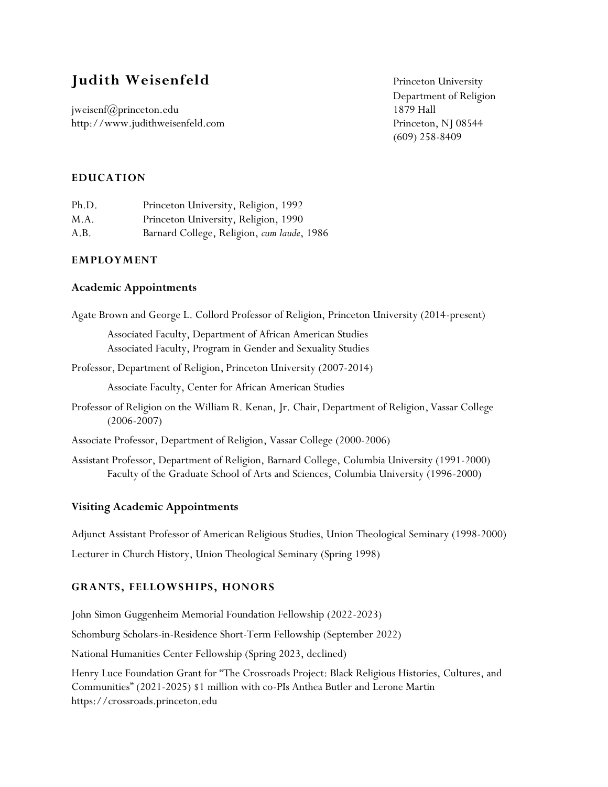# **Judith Weisenfeld** Princeton University

jweisenf@princeton.edu 1879 Hall http://www.judithweisenfeld.com Princeton, NJ 08544

Department of Religion (609) 258-8409

### **EDUCATION**

| Ph.D. | Princeton University, Religion, 1992       |
|-------|--------------------------------------------|
| M.A.  | Princeton University, Religion, 1990       |
| A.B.  | Barnard College, Religion, cum laude, 1986 |

#### **EMPLOYMENT**

### **Academic Appointments**

Agate Brown and George L. Collord Professor of Religion, Princeton University (2014-present)

Associated Faculty, Department of African American Studies Associated Faculty, Program in Gender and Sexuality Studies

Professor, Department of Religion, Princeton University (2007-2014)

Associate Faculty, Center for African American Studies

Professor of Religion on the William R. Kenan, Jr. Chair, Department of Religion, Vassar College (2006-2007)

Associate Professor, Department of Religion, Vassar College (2000-2006)

Assistant Professor, Department of Religion, Barnard College, Columbia University (1991-2000) Faculty of the Graduate School of Arts and Sciences, Columbia University (1996-2000)

## **Visiting Academic Appointments**

Adjunct Assistant Professor of American Religious Studies, Union Theological Seminary (1998-2000) Lecturer in Church History, Union Theological Seminary (Spring 1998)

#### **GRANTS, FELLOWSHIPS, HONORS**

John Simon Guggenheim Memorial Foundation Fellowship (2022-2023)

Schomburg Scholars-in-Residence Short-Term Fellowship (September 2022)

National Humanities Center Fellowship (Spring 2023, declined)

Henry Luce Foundation Grant for "The Crossroads Project: Black Religious Histories, Cultures, and Communities" (2021-2025) \$1 million with co-PIs Anthea Butler and Lerone Martin https://crossroads.princeton.edu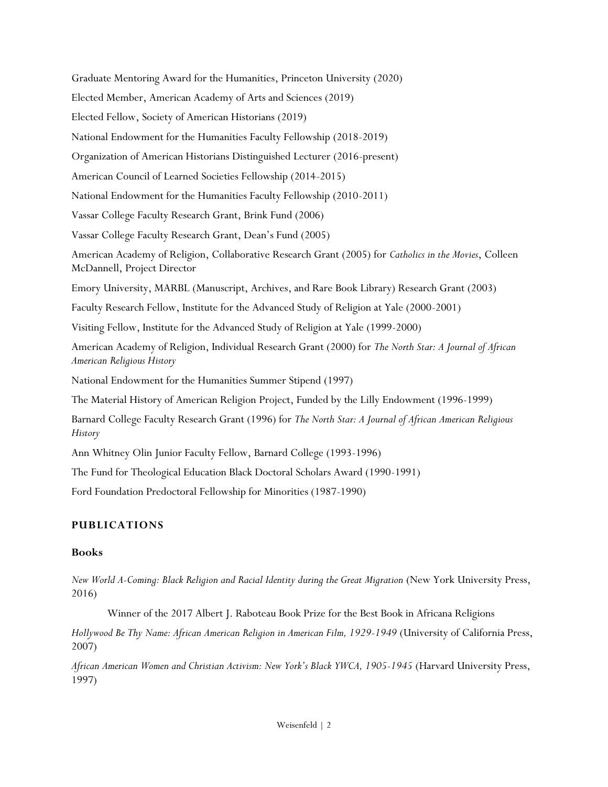Graduate Mentoring Award for the Humanities, Princeton University (2020) Elected Member, American Academy of Arts and Sciences (2019) Elected Fellow, Society of American Historians (2019) National Endowment for the Humanities Faculty Fellowship (2018-2019) Organization of American Historians Distinguished Lecturer (2016-present) American Council of Learned Societies Fellowship (2014-2015) National Endowment for the Humanities Faculty Fellowship (2010-2011) Vassar College Faculty Research Grant, Brink Fund (2006) Vassar College Faculty Research Grant, Dean's Fund (2005) American Academy of Religion, Collaborative Research Grant (2005) for *Catholics in the Movies*, Colleen McDannell, Project Director Emory University, MARBL (Manuscript, Archives, and Rare Book Library) Research Grant (2003) Faculty Research Fellow, Institute for the Advanced Study of Religion at Yale (2000-2001) Visiting Fellow, Institute for the Advanced Study of Religion at Yale (1999-2000) American Academy of Religion, Individual Research Grant (2000) for *The North Star: A Journal of African American Religious History* National Endowment for the Humanities Summer Stipend (1997) The Material History of American Religion Project, Funded by the Lilly Endowment (1996-1999) Barnard College Faculty Research Grant (1996) for *The North Star: A Journal of African American Religious History* Ann Whitney Olin Junior Faculty Fellow, Barnard College (1993-1996) The Fund for Theological Education Black Doctoral Scholars Award (1990-1991)

Ford Foundation Predoctoral Fellowship for Minorities (1987-1990)

# **PUBLICATIONS**

## **Books**

*New World A-Coming: Black Religion and Racial Identity during the Great Migration* (New York University Press, 2016)

Winner of the 2017 Albert J. Raboteau Book Prize for the Best Book in Africana Religions

*Hollywood Be Thy Name: African American Religion in American Film, 1929-1949* (University of California Press, 2007)

*African American Women and Christian Activism: New York's Black YWCA, 1905-1945* (Harvard University Press, 1997)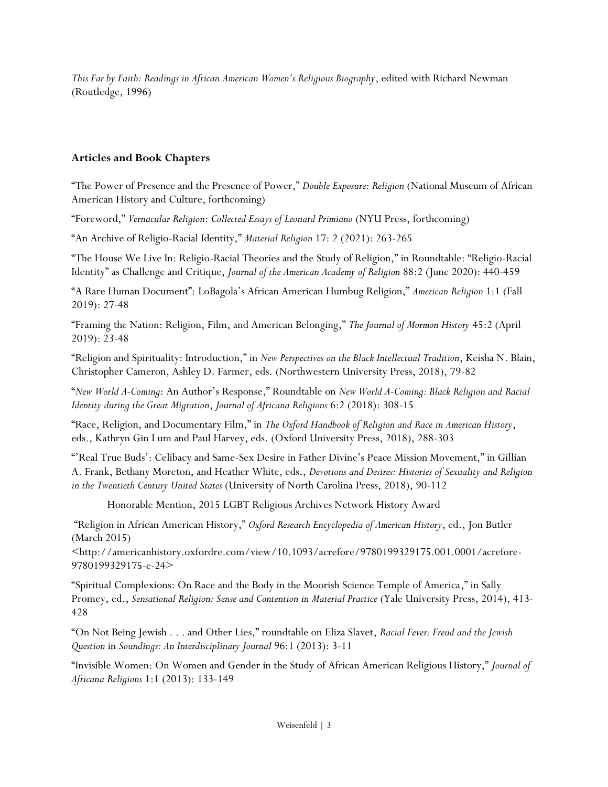*This Far by Faith: Readings in African American Women's Religious Biography*, edited with Richard Newman (Routledge, 1996)

# **Articles and Book Chapters**

"The Power of Presence and the Presence of Power," *Double Exposure: Religion* (National Museum of African American History and Culture, forthcoming)

"Foreword," *Vernacular Religion*: *Collected Essays of Leonard Primiano* (NYU Press, forthcoming)

"An Archive of Religio-Racial Identity," *Material Religion* 17: 2 (2021): 263-265

"The House We Live In: Religio-Racial Theories and the Study of Religion," in Roundtable: "Religio-Racial Identity" as Challenge and Critique, *Journal of the American Academy of Religion* 88:2 (June 2020): 440-459

"A Rare Human Document": LoBagola's African American Humbug Religion," *American Religion* 1:1 (Fall 2019): 27-48

"Framing the Nation: Religion, Film, and American Belonging," *The Journal of Mormon History* 45:2 (April 2019): 23-48

"Religion and Spirituality: Introduction," in *New Perspectives on the Black Intellectual Tradition*, Keisha N. Blain, Christopher Cameron, Ashley D. Farmer, eds. (Northwestern University Press, 2018), 79-82

"*New World A-Coming*: An Author's Response," Roundtable on *New World A-Coming: Black Religion and Racial Identity during the Great Migration*, *Journal of Africana Religions* 6:2 (2018): 308-15

"Race, Religion, and Documentary Film," in *The Oxford Handbook of Religion and Race in American History*, eds., Kathryn Gin Lum and Paul Harvey, eds. (Oxford University Press, 2018), 288-303

"'Real True Buds': Celibacy and Same-Sex Desire in Father Divine's Peace Mission Movement," in Gillian A. Frank, Bethany Moreton, and Heather White, eds., *Devotions and Desires: Histories of Sexuality and Religion in the Twentieth Century United States* (University of North Carolina Press, 2018), 90-112

Honorable Mention, 2015 LGBT Religious Archives Network History Award

"Religion in African American History," *Oxford Research Encyclopedia of American History*, ed., Jon Butler (March 2015)

<http://americanhistory.oxfordre.com/view/10.1093/acrefore/9780199329175.001.0001/acrefore-9780199329175-e-24>

"Spiritual Complexions: On Race and the Body in the Moorish Science Temple of America," in Sally Promey, ed., *Sensational Religion: Sense and Contention in Material Practice* (Yale University Press, 2014), 413- 428

"On Not Being Jewish . . . and Other Lies," roundtable on Eliza Slavet, *Racial Fever: Freud and the Jewish Question* in *Soundings: An Interdisciplinary Journal* 96:1 (2013): 3-11

"Invisible Women: On Women and Gender in the Study of African American Religious History," *Journal of Africana Religions* 1:1 (2013): 133-149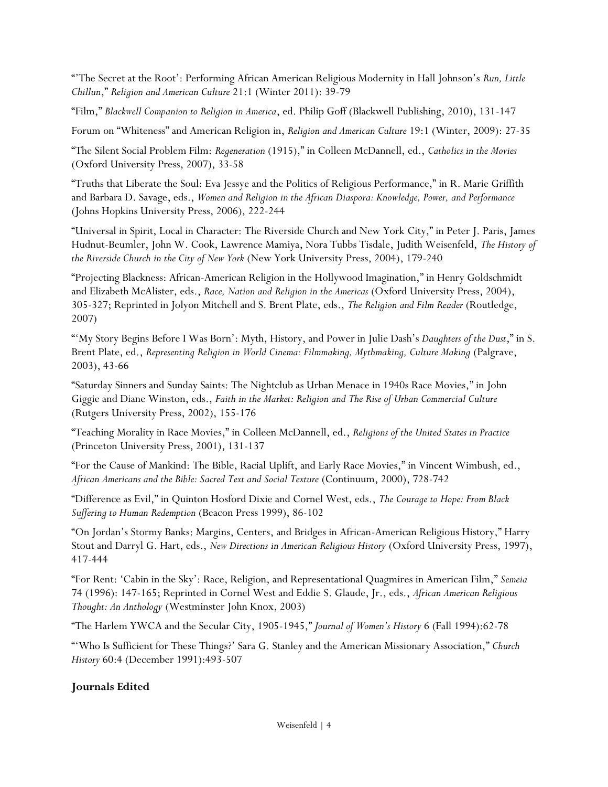"'The Secret at the Root': Performing African American Religious Modernity in Hall Johnson's *Run, Little Chillun*," *Religion and American Culture* 21:1 (Winter 2011): 39-79

"Film," *Blackwell Companion to Religion in America*, ed. Philip Goff (Blackwell Publishing, 2010), 131-147

Forum on "Whiteness" and American Religion in, *Religion and American Culture* 19:1 (Winter, 2009): 27-35

"The Silent Social Problem Film: *Regeneration* (1915)," in Colleen McDannell, ed., *Catholics in the Movies* (Oxford University Press, 2007), 33-58

"Truths that Liberate the Soul: Eva Jessye and the Politics of Religious Performance," in R. Marie Griffith and Barbara D. Savage, eds., *Women and Religion in the African Diaspora: Knowledge, Power, and Performance* (Johns Hopkins University Press, 2006), 222-244

"Universal in Spirit, Local in Character: The Riverside Church and New York City," in Peter J. Paris, James Hudnut-Beumler, John W. Cook, Lawrence Mamiya, Nora Tubbs Tisdale, Judith Weisenfeld, *The History of the Riverside Church in the City of New York* (New York University Press, 2004), 179-240

"Projecting Blackness: African-American Religion in the Hollywood Imagination," in Henry Goldschmidt and Elizabeth McAlister, eds., *Race, Nation and Religion in the Americas* (Oxford University Press, 2004), 305-327; Reprinted in Jolyon Mitchell and S. Brent Plate, eds., *The Religion and Film Reader* (Routledge, 2007)

"'My Story Begins Before I Was Born': Myth, History, and Power in Julie Dash's *Daughters of the Dust*," in S. Brent Plate, ed., *Representing Religion in World Cinema: Filmmaking, Mythmaking, Culture Making* (Palgrave, 2003), 43-66

"Saturday Sinners and Sunday Saints: The Nightclub as Urban Menace in 1940s Race Movies," in John Giggie and Diane Winston, eds., *Faith in the Market: Religion and The Rise of Urban Commercial Culture* (Rutgers University Press, 2002), 155-176

"Teaching Morality in Race Movies," in Colleen McDannell, ed., *Religions of the United States in Practice* (Princeton University Press, 2001), 131-137

"For the Cause of Mankind: The Bible, Racial Uplift, and Early Race Movies," in Vincent Wimbush, ed., *African Americans and the Bible: Sacred Text and Social Texture* (Continuum, 2000), 728-742

"Difference as Evil," in Quinton Hosford Dixie and Cornel West, eds., *The Courage to Hope: From Black Suffering to Human Redemption* (Beacon Press 1999), 86-102

"On Jordan's Stormy Banks: Margins, Centers, and Bridges in African-American Religious History," Harry Stout and Darryl G. Hart, eds., *New Directions in American Religious History* (Oxford University Press, 1997), 417-444

"For Rent: 'Cabin in the Sky': Race, Religion, and Representational Quagmires in American Film," *Semeia* 74 (1996): 147-165; Reprinted in Cornel West and Eddie S. Glaude, Jr., eds., *African American Religious Thought: An Anthology* (Westminster John Knox, 2003)

"The Harlem YWCA and the Secular City, 1905-1945," *Journal of Women's History* 6 (Fall 1994):62-78

"'Who Is Sufficient for These Things?' Sara G. Stanley and the American Missionary Association," *Church History* 60:4 (December 1991):493-507

# **Journals Edited**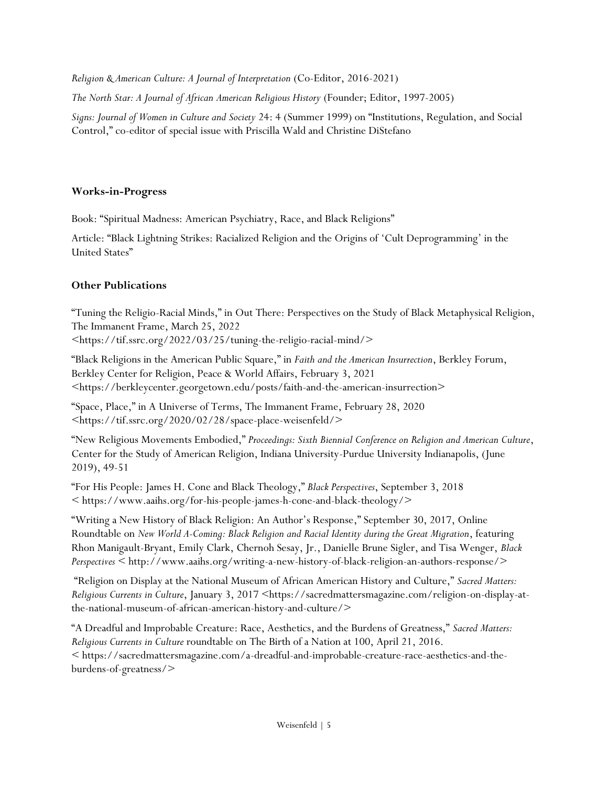*Religion & American Culture: A Journal of Interpretation* (Co-Editor, 2016-2021)

*The North Star: A Journal of African American Religious History* (Founder; Editor, 1997-2005)

*Signs: Journal of Women in Culture and Society* 24: 4 (Summer 1999) on "Institutions, Regulation, and Social Control," co-editor of special issue with Priscilla Wald and Christine DiStefano

## **Works-in-Progress**

Book: "Spiritual Madness: American Psychiatry, Race, and Black Religions"

Article: "Black Lightning Strikes: Racialized Religion and the Origins of 'Cult Deprogramming' in the United States"

## **Other Publications**

"Tuning the Religio-Racial Minds," in Out There: Perspectives on the Study of Black Metaphysical Religion, The Immanent Frame, March 25, 2022

<https://tif.ssrc.org/2022/03/25/tuning-the-religio-racial-mind/>

"Black Religions in the American Public Square," in *Faith and the American Insurrection*, Berkley Forum, Berkley Center for Religion, Peace & World Affairs, February 3, 2021 <https://berkleycenter.georgetown.edu/posts/faith-and-the-american-insurrection>

"Space, Place," in A Universe of Terms, The Immanent Frame, February 28, 2020 <https://tif.ssrc.org/2020/02/28/space-place-weisenfeld/>

"New Religious Movements Embodied," *Proceedings: Sixth Biennial Conference on Religion and American Culture*, Center for the Study of American Religion, Indiana University-Purdue University Indianapolis, (June 2019), 49-51

"For His People: James H. Cone and Black Theology," *Black Perspectives*, September 3, 2018 < https://www.aaihs.org/for-his-people-james-h-cone-and-black-theology/>

"Writing a New History of Black Religion: An Author's Response," September 30, 2017, Online Roundtable on *New World A-Coming: Black Religion and Racial Identity during the Great Migration*, featuring Rhon Manigault-Bryant, Emily Clark, Chernoh Sesay, Jr., Danielle Brune Sigler, and Tisa Wenger, *Black Perspectives* < http://www.aaihs.org/writing-a-new-history-of-black-religion-an-authors-response/>

"Religion on Display at the National Museum of African American History and Culture," *Sacred Matters: Religious Currents in Culture*, January 3, 2017 <https://sacredmattersmagazine.com/religion-on-display-atthe-national-museum-of-african-american-history-and-culture/>

"A Dreadful and Improbable Creature: Race, Aesthetics, and the Burdens of Greatness," *Sacred Matters: Religious Currents in Culture* roundtable on The Birth of a Nation at 100, April 21, 2016. < https://sacredmattersmagazine.com/a-dreadful-and-improbable-creature-race-aesthetics-and-theburdens-of-greatness/>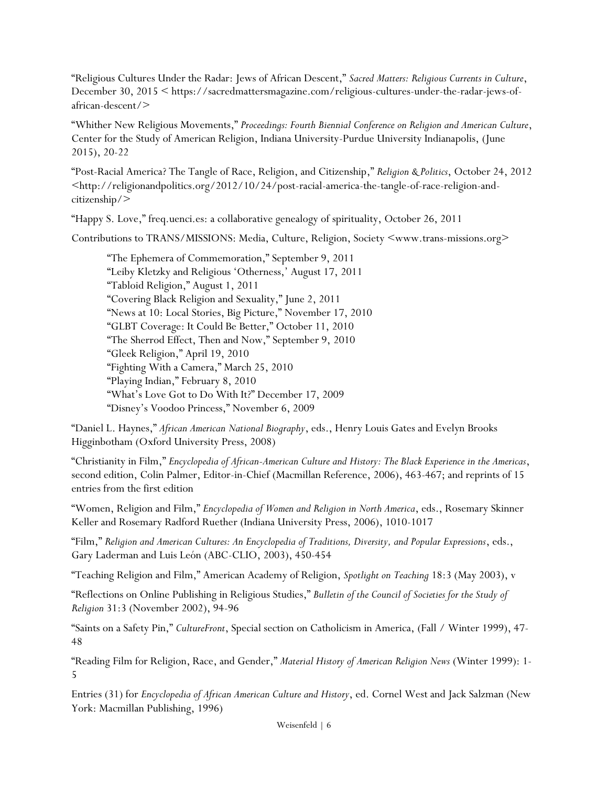"Religious Cultures Under the Radar: Jews of African Descent," *Sacred Matters: Religious Currents in Culture*, December 30, 2015 < https://sacredmattersmagazine.com/religious-cultures-under-the-radar-jews-ofafrican-descent/>

"Whither New Religious Movements," *Proceedings: Fourth Biennial Conference on Religion and American Culture*, Center for the Study of American Religion, Indiana University-Purdue University Indianapolis, (June 2015), 20-22

"Post-Racial America? The Tangle of Race, Religion, and Citizenship," *Religion & Politics*, October 24, 2012 <http://religionandpolitics.org/2012/10/24/post-racial-america-the-tangle-of-race-religion-andcitizenship/>

"Happy S. Love," freq.uenci.es: a collaborative genealogy of spirituality, October 26, 2011

Contributions to TRANS/MISSIONS: Media, Culture, Religion, Society <www.trans-missions.org>

"The Ephemera of Commemoration," September 9, 2011 "Leiby Kletzky and Religious 'Otherness,' August 17, 2011 "Tabloid Religion," August 1, 2011 "Covering Black Religion and Sexuality," June 2, 2011 "News at 10: Local Stories, Big Picture," November 17, 2010 "GLBT Coverage: It Could Be Better," October 11, 2010 "The Sherrod Effect, Then and Now," September 9, 2010 "Gleek Religion," April 19, 2010 "Fighting With a Camera," March 25, 2010 "Playing Indian," February 8, 2010 "What's Love Got to Do With It?" December 17, 2009 "Disney's Voodoo Princess," November 6, 2009

"Daniel L. Haynes," *African American National Biography*, eds., Henry Louis Gates and Evelyn Brooks Higginbotham (Oxford University Press, 2008)

"Christianity in Film," *Encyclopedia of African-American Culture and History: The Black Experience in the Americas*, second edition, Colin Palmer, Editor-in-Chief (Macmillan Reference, 2006), 463-467; and reprints of 15 entries from the first edition

"Women, Religion and Film," *Encyclopedia of Women and Religion in North America*, eds., Rosemary Skinner Keller and Rosemary Radford Ruether (Indiana University Press, 2006), 1010-1017

"Film," *Religion and American Cultures: An Encyclopedia of Traditions, Diversity, and Popular Expressions*, eds., Gary Laderman and Luis León (ABC-CLIO, 2003), 450-454

"Teaching Religion and Film," American Academy of Religion, *Spotlight on Teaching* 18:3 (May 2003), v

"Reflections on Online Publishing in Religious Studies," *Bulletin of the Council of Societies for the Study of Religion* 31:3 (November 2002), 94-96

"Saints on a Safety Pin," *CultureFront*, Special section on Catholicism in America, (Fall / Winter 1999), 47- 48

"Reading Film for Religion, Race, and Gender," *Material History of American Religion News* (Winter 1999): 1- 5

Entries (31) for *Encyclopedia of African American Culture and History*, ed. Cornel West and Jack Salzman (New York: Macmillan Publishing, 1996)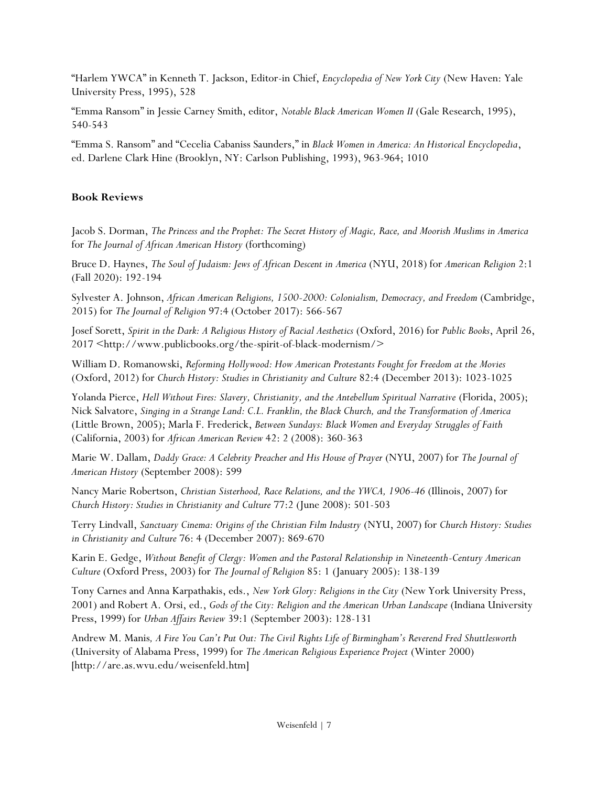"Harlem YWCA" in Kenneth T. Jackson, Editor-in Chief, *Encyclopedia of New York City* (New Haven: Yale University Press, 1995), 528

"Emma Ransom" in Jessie Carney Smith, editor, *Notable Black American Women II* (Gale Research, 1995), 540-543

"Emma S. Ransom" and "Cecelia Cabaniss Saunders," in *Black Women in America: An Historical Encyclopedia*, ed. Darlene Clark Hine (Brooklyn, NY: Carlson Publishing, 1993), 963-964; 1010

# **Book Reviews**

Jacob S. Dorman, *The Princess and the Prophet: The Secret History of Magic, Race, and Moorish Muslims in America* for *The Journal of African American History* (forthcoming)

Bruce D. Haynes, *The Soul of Judaism: Jews of African Descent in America* (NYU, 2018) for *American Religion* 2:1 (Fall 2020): 192-194

Sylvester A. Johnson, *African American Religions, 1500-2000: Colonialism, Democracy, and Freedom* (Cambridge, 2015) for *The Journal of Religion* 97:4 (October 2017): 566-567

Josef Sorett, *Spirit in the Dark: A Religious History of Racial Aesthetics* (Oxford, 2016) for *Public Books*, April 26, 2017 <http://www.publicbooks.org/the-spirit-of-black-modernism/>

William D. Romanowski, *Reforming Hollywood: How American Protestants Fought for Freedom at the Movies* (Oxford, 2012) for *Church History: Studies in Christianity and Culture* 82:4 (December 2013): 1023-1025

Yolanda Pierce, *Hell Without Fires: Slavery, Christianity, and the Antebellum Spiritual Narrative* (Florida, 2005); Nick Salvatore, *Singing in a Strange Land: C.L. Franklin, the Black Church, and the Transformation of America* (Little Brown, 2005); Marla F. Frederick, *Between Sundays: Black Women and Everyday Struggles of Faith* (California, 2003) for *African American Review* 42: 2 (2008): 360-363

Marie W. Dallam, *Daddy Grace: A Celebrity Preacher and His House of Prayer* (NYU, 2007) for *The Journal of American History* (September 2008): 599

Nancy Marie Robertson, *Christian Sisterhood, Race Relations, and the YWCA, 1906-46* (Illinois, 2007) for *Church History: Studies in Christianity and Culture* 77:2 (June 2008): 501-503

Terry Lindvall, *Sanctuary Cinema: Origins of the Christian Film Industry* (NYU, 2007) for *Church History: Studies in Christianity and Culture* 76: 4 (December 2007): 869-670

Karin E. Gedge, *Without Benefit of Clergy: Women and the Pastoral Relationship in Nineteenth-Century American Culture* (Oxford Press, 2003) for *The Journal of Religion* 85: 1 (January 2005): 138-139

Tony Carnes and Anna Karpathakis, eds., *New York Glory: Religions in the City* (New York University Press, 2001) and Robert A. Orsi, ed., *Gods of the City: Religion and the American Urban Landscape* (Indiana University Press, 1999) for *Urban Affairs Review* 39:1 (September 2003): 128-131

Andrew M. Manis*, A Fire You Can't Put Out: The Civil Rights Life of Birmingham's Reverend Fred Shuttlesworth* (University of Alabama Press, 1999) for *The American Religious Experience Project* (Winter 2000) [http://are.as.wvu.edu/weisenfeld.htm]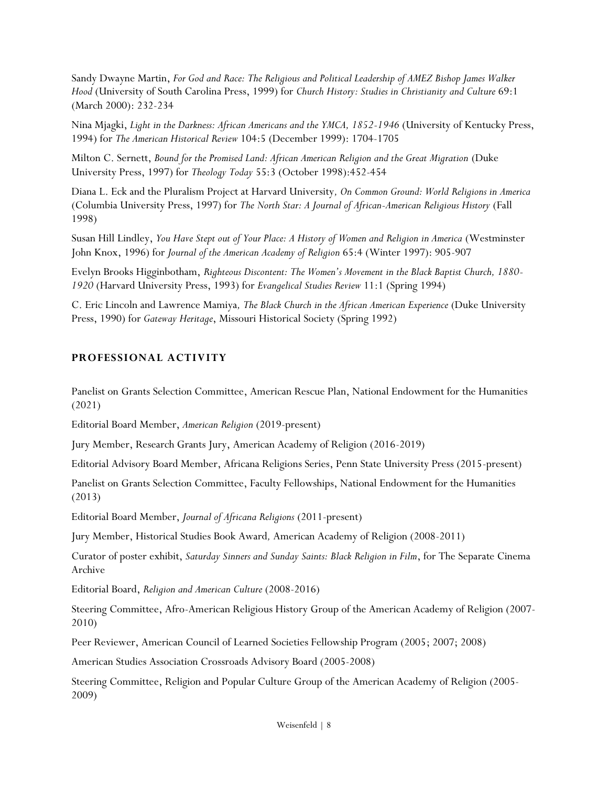Sandy Dwayne Martin, *For God and Race: The Religious and Political Leadership of AMEZ Bishop James Walker Hood* (University of South Carolina Press, 1999) for *Church History: Studies in Christianity and Culture* 69:1 (March 2000): 232-234

Nina Mjagki, *Light in the Darkness: African Americans and the YMCA, 1852-1946* (University of Kentucky Press, 1994) for *The American Historical Review* 104:5 (December 1999): 1704-1705

Milton C. Sernett, *Bound for the Promised Land: African American Religion and the Great Migration* (Duke University Press, 1997) for *Theology Today* 55:3 (October 1998):452-454

Diana L. Eck and the Pluralism Project at Harvard University*, On Common Ground: World Religions in America* (Columbia University Press, 1997) for *The North Star: A Journal of African-American Religious History* (Fall 1998)

Susan Hill Lindley, *You Have Stept out of Your Place: A History of Women and Religion in America* (Westminster John Knox, 1996) for *Journal of the American Academy of Religion* 65:4 (Winter 1997): 905-907

Evelyn Brooks Higginbotham, *Righteous Discontent: The Women's Movement in the Black Baptist Church, 1880- 1920* (Harvard University Press, 1993) for *Evangelical Studies Review* 11:1 (Spring 1994)

C. Eric Lincoln and Lawrence Mamiya*, The Black Church in the African American Experience* (Duke University Press, 1990) for *Gateway Heritage*, Missouri Historical Society (Spring 1992)

### **PROFESSIONAL ACTIVITY**

Panelist on Grants Selection Committee, American Rescue Plan, National Endowment for the Humanities (2021)

Editorial Board Member, *American Religion* (2019-present)

Jury Member, Research Grants Jury, American Academy of Religion (2016-2019)

Editorial Advisory Board Member, Africana Religions Series, Penn State University Press (2015-present)

Panelist on Grants Selection Committee, Faculty Fellowships, National Endowment for the Humanities (2013)

Editorial Board Member, *Journal of Africana Religions* (2011-present)

Jury Member, Historical Studies Book Award*,* American Academy of Religion (2008-2011)

Curator of poster exhibit, *Saturday Sinners and Sunday Saints: Black Religion in Film*, for The Separate Cinema Archive

Editorial Board, *Religion and American Culture* (2008-2016)

Steering Committee, Afro-American Religious History Group of the American Academy of Religion (2007- 2010)

Peer Reviewer, American Council of Learned Societies Fellowship Program (2005; 2007; 2008)

American Studies Association Crossroads Advisory Board (2005-2008)

Steering Committee, Religion and Popular Culture Group of the American Academy of Religion (2005- 2009)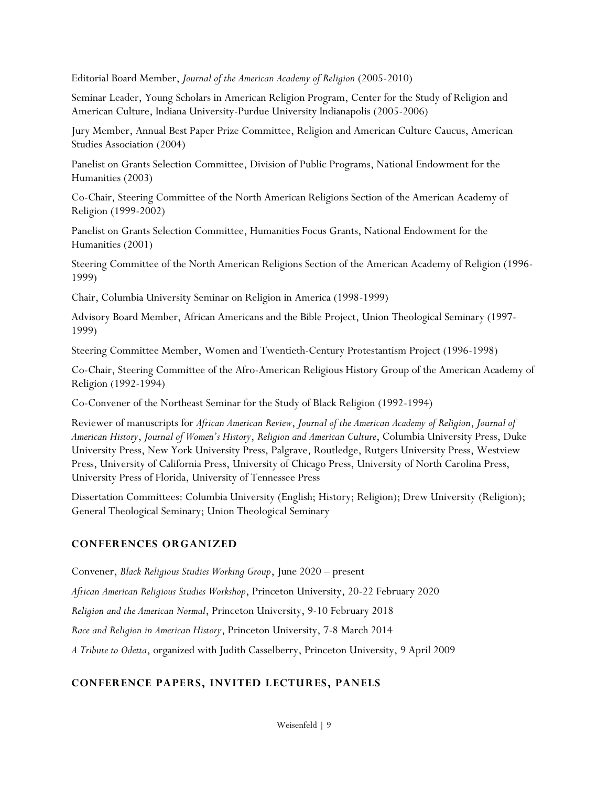Editorial Board Member, *Journal of the American Academy of Religion* (2005-2010)

Seminar Leader, Young Scholars in American Religion Program, Center for the Study of Religion and American Culture, Indiana University-Purdue University Indianapolis (2005-2006)

Jury Member, Annual Best Paper Prize Committee, Religion and American Culture Caucus, American Studies Association (2004)

Panelist on Grants Selection Committee, Division of Public Programs, National Endowment for the Humanities (2003)

Co-Chair, Steering Committee of the North American Religions Section of the American Academy of Religion (1999-2002)

Panelist on Grants Selection Committee, Humanities Focus Grants, National Endowment for the Humanities (2001)

Steering Committee of the North American Religions Section of the American Academy of Religion (1996- 1999)

Chair, Columbia University Seminar on Religion in America (1998-1999)

Advisory Board Member, African Americans and the Bible Project, Union Theological Seminary (1997- 1999)

Steering Committee Member, Women and Twentieth-Century Protestantism Project (1996-1998)

Co-Chair, Steering Committee of the Afro-American Religious History Group of the American Academy of Religion (1992-1994)

Co-Convener of the Northeast Seminar for the Study of Black Religion (1992-1994)

Reviewer of manuscripts for *African American Review*, *Journal of the American Academy of Religion*, *Journal of American History*, *Journal of Women's History*, *Religion and American Culture*, Columbia University Press, Duke University Press, New York University Press, Palgrave, Routledge, Rutgers University Press, Westview Press, University of California Press, University of Chicago Press, University of North Carolina Press, University Press of Florida, University of Tennessee Press

Dissertation Committees: Columbia University (English; History; Religion); Drew University (Religion); General Theological Seminary; Union Theological Seminary

# **CONFERENCES ORGANIZED**

Convener, *Black Religious Studies Working Group*, June 2020 – present

*African American Religious Studies Workshop*, Princeton University, 20-22 February 2020

*Religion and the American Normal*, Princeton University, 9-10 February 2018

*Race and Religion in American History*, Princeton University, 7-8 March 2014

*A Tribute to Odetta*, organized with Judith Casselberry, Princeton University, 9 April 2009

# **CONFERENCE PAPERS, INVITED LECTURES, PANELS**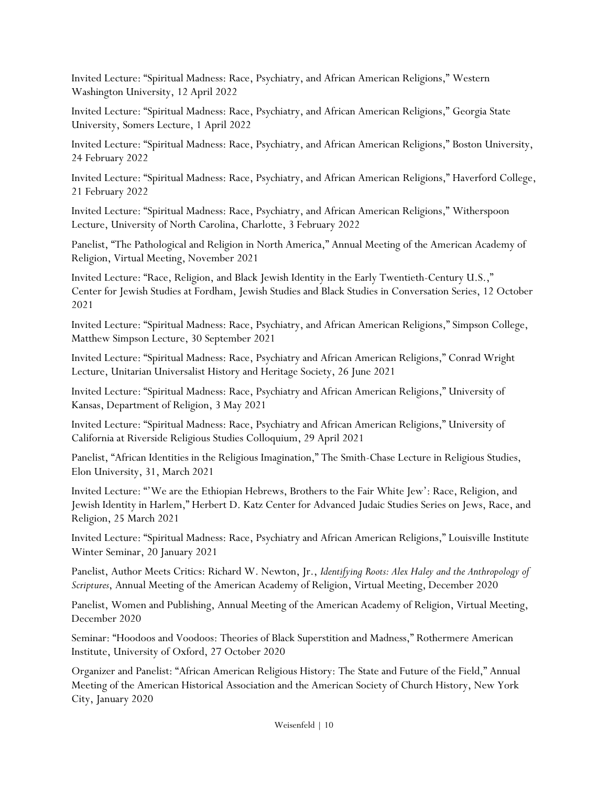Invited Lecture: "Spiritual Madness: Race, Psychiatry, and African American Religions," Western Washington University, 12 April 2022

Invited Lecture: "Spiritual Madness: Race, Psychiatry, and African American Religions," Georgia State University, Somers Lecture, 1 April 2022

Invited Lecture: "Spiritual Madness: Race, Psychiatry, and African American Religions," Boston University, 24 February 2022

Invited Lecture: "Spiritual Madness: Race, Psychiatry, and African American Religions," Haverford College, 21 February 2022

Invited Lecture: "Spiritual Madness: Race, Psychiatry, and African American Religions," Witherspoon Lecture, University of North Carolina, Charlotte, 3 February 2022

Panelist, "The Pathological and Religion in North America," Annual Meeting of the American Academy of Religion, Virtual Meeting, November 2021

Invited Lecture: "Race, Religion, and Black Jewish Identity in the Early Twentieth-Century U.S.," Center for Jewish Studies at Fordham, Jewish Studies and Black Studies in Conversation Series, 12 October 2021

Invited Lecture: "Spiritual Madness: Race, Psychiatry, and African American Religions," Simpson College, Matthew Simpson Lecture, 30 September 2021

Invited Lecture: "Spiritual Madness: Race, Psychiatry and African American Religions," Conrad Wright Lecture, Unitarian Universalist History and Heritage Society, 26 June 2021

Invited Lecture: "Spiritual Madness: Race, Psychiatry and African American Religions," University of Kansas, Department of Religion, 3 May 2021

Invited Lecture: "Spiritual Madness: Race, Psychiatry and African American Religions," University of California at Riverside Religious Studies Colloquium, 29 April 2021

Panelist, "African Identities in the Religious Imagination," The Smith-Chase Lecture in Religious Studies, Elon University, 31, March 2021

Invited Lecture: "'We are the Ethiopian Hebrews, Brothers to the Fair White Jew': Race, Religion, and Jewish Identity in Harlem," Herbert D. Katz Center for Advanced Judaic Studies Series on Jews, Race, and Religion, 25 March 2021

Invited Lecture: "Spiritual Madness: Race, Psychiatry and African American Religions," Louisville Institute Winter Seminar, 20 January 2021

Panelist, Author Meets Critics: Richard W. Newton, Jr., *Identifying Roots: Alex Haley and the Anthropology of Scriptures*, Annual Meeting of the American Academy of Religion, Virtual Meeting, December 2020

Panelist, Women and Publishing, Annual Meeting of the American Academy of Religion, Virtual Meeting, December 2020

Seminar: "Hoodoos and Voodoos: Theories of Black Superstition and Madness," Rothermere American Institute, University of Oxford, 27 October 2020

Organizer and Panelist: "African American Religious History: The State and Future of the Field," Annual Meeting of the American Historical Association and the American Society of Church History, New York City, January 2020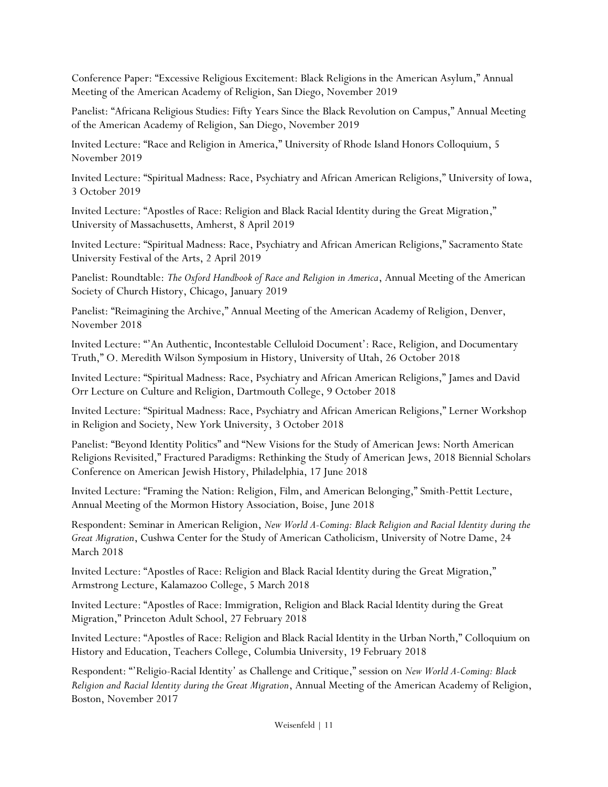Conference Paper: "Excessive Religious Excitement: Black Religions in the American Asylum," Annual Meeting of the American Academy of Religion, San Diego, November 2019

Panelist: "Africana Religious Studies: Fifty Years Since the Black Revolution on Campus," Annual Meeting of the American Academy of Religion, San Diego, November 2019

Invited Lecture: "Race and Religion in America," University of Rhode Island Honors Colloquium, 5 November 2019

Invited Lecture: "Spiritual Madness: Race, Psychiatry and African American Religions," University of Iowa, 3 October 2019

Invited Lecture: "Apostles of Race: Religion and Black Racial Identity during the Great Migration," University of Massachusetts, Amherst, 8 April 2019

Invited Lecture: "Spiritual Madness: Race, Psychiatry and African American Religions," Sacramento State University Festival of the Arts, 2 April 2019

Panelist: Roundtable: *The Oxford Handbook of Race and Religion in America*, Annual Meeting of the American Society of Church History, Chicago, January 2019

Panelist: "Reimagining the Archive," Annual Meeting of the American Academy of Religion, Denver, November 2018

Invited Lecture: "'An Authentic, Incontestable Celluloid Document': Race, Religion, and Documentary Truth," O. Meredith Wilson Symposium in History, University of Utah, 26 October 2018

Invited Lecture: "Spiritual Madness: Race, Psychiatry and African American Religions," James and David Orr Lecture on Culture and Religion, Dartmouth College, 9 October 2018

Invited Lecture: "Spiritual Madness: Race, Psychiatry and African American Religions," Lerner Workshop in Religion and Society, New York University, 3 October 2018

Panelist: "Beyond Identity Politics" and "New Visions for the Study of American Jews: North American Religions Revisited," Fractured Paradigms: Rethinking the Study of American Jews, 2018 Biennial Scholars Conference on American Jewish History, Philadelphia, 17 June 2018

Invited Lecture: "Framing the Nation: Religion, Film, and American Belonging," Smith-Pettit Lecture, Annual Meeting of the Mormon History Association, Boise, June 2018

Respondent: Seminar in American Religion, *New World A-Coming: Black Religion and Racial Identity during the Great Migration*, Cushwa Center for the Study of American Catholicism, University of Notre Dame, 24 March 2018

Invited Lecture: "Apostles of Race: Religion and Black Racial Identity during the Great Migration," Armstrong Lecture, Kalamazoo College, 5 March 2018

Invited Lecture: "Apostles of Race: Immigration, Religion and Black Racial Identity during the Great Migration," Princeton Adult School, 27 February 2018

Invited Lecture: "Apostles of Race: Religion and Black Racial Identity in the Urban North," Colloquium on History and Education, Teachers College, Columbia University, 19 February 2018

Respondent: "'Religio-Racial Identity' as Challenge and Critique," session on *New World A-Coming: Black Religion and Racial Identity during the Great Migration*, Annual Meeting of the American Academy of Religion, Boston, November 2017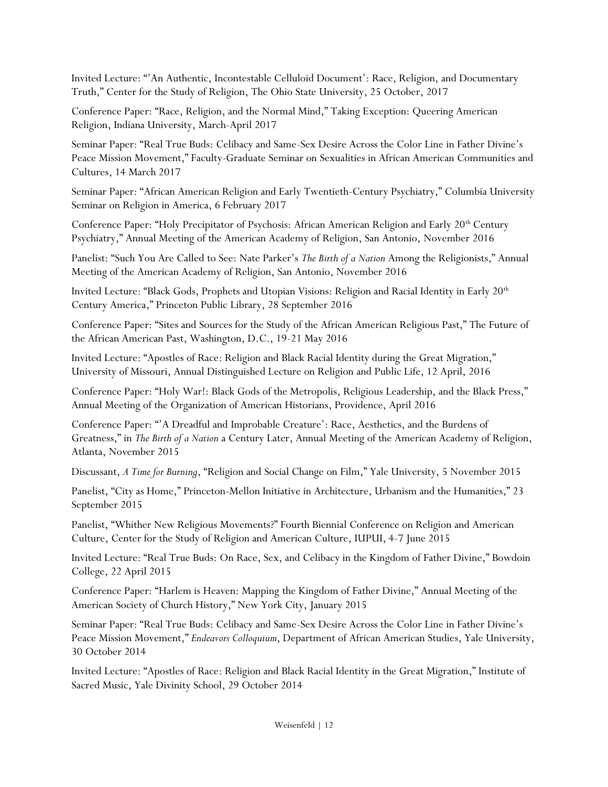Invited Lecture: "'An Authentic, Incontestable Celluloid Document': Race, Religion, and Documentary Truth," Center for the Study of Religion, The Ohio State University, 25 October, 2017

Conference Paper: "Race, Religion, and the Normal Mind," Taking Exception: Queering American Religion, Indiana University, March-April 2017

Seminar Paper: "Real True Buds: Celibacy and Same-Sex Desire Across the Color Line in Father Divine's Peace Mission Movement," Faculty-Graduate Seminar on Sexualities in African American Communities and Cultures, 14 March 2017

Seminar Paper: "African American Religion and Early Twentieth-Century Psychiatry," Columbia University Seminar on Religion in America, 6 February 2017

Conference Paper: "Holy Precipitator of Psychosis: African American Religion and Early 20<sup>th</sup> Century Psychiatry," Annual Meeting of the American Academy of Religion, San Antonio, November 2016

Panelist: "Such You Are Called to See: Nate Parker's *The Birth of a Nation* Among the Religionists," Annual Meeting of the American Academy of Religion, San Antonio, November 2016

Invited Lecture: "Black Gods, Prophets and Utopian Visions: Religion and Racial Identity in Early 20<sup>th</sup> Century America," Princeton Public Library, 28 September 2016

Conference Paper: "Sites and Sources for the Study of the African American Religious Past," The Future of the African American Past, Washington, D.C., 19-21 May 2016

Invited Lecture: "Apostles of Race: Religion and Black Racial Identity during the Great Migration," University of Missouri, Annual Distinguished Lecture on Religion and Public Life, 12 April, 2016

Conference Paper: "Holy War!: Black Gods of the Metropolis, Religious Leadership, and the Black Press," Annual Meeting of the Organization of American Historians, Providence, April 2016

Conference Paper: "'A Dreadful and Improbable Creature': Race, Aesthetics, and the Burdens of Greatness," in *The Birth of a Nation* a Century Later, Annual Meeting of the American Academy of Religion, Atlanta, November 2015

Discussant, *A Time for Burning*, "Religion and Social Change on Film," Yale University, 5 November 2015

Panelist, "City as Home," Princeton-Mellon Initiative in Architecture, Urbanism and the Humanities," 23 September 2015

Panelist, "Whither New Religious Movements?" Fourth Biennial Conference on Religion and American Culture, Center for the Study of Religion and American Culture, IUPUI, 4-7 June 2015

Invited Lecture: "Real True Buds: On Race, Sex, and Celibacy in the Kingdom of Father Divine," Bowdoin College, 22 April 2015

Conference Paper: "Harlem is Heaven: Mapping the Kingdom of Father Divine," Annual Meeting of the American Society of Church History," New York City, January 2015

Seminar Paper: "Real True Buds: Celibacy and Same-Sex Desire Across the Color Line in Father Divine's Peace Mission Movement," *Endeavors Colloquium*, Department of African American Studies, Yale University, 30 October 2014

Invited Lecture: "Apostles of Race: Religion and Black Racial Identity in the Great Migration," Institute of Sacred Music, Yale Divinity School, 29 October 2014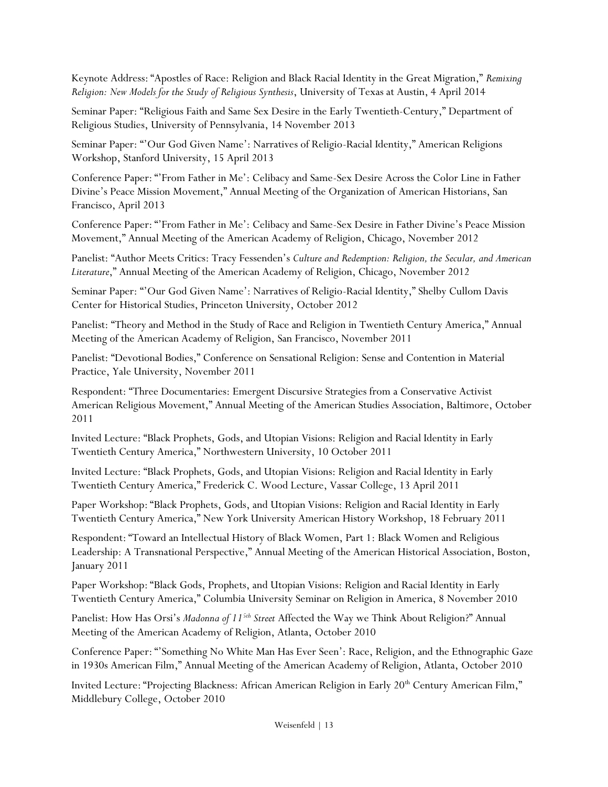Keynote Address: "Apostles of Race: Religion and Black Racial Identity in the Great Migration," *Remixing Religion: New Models for the Study of Religious Synthesis*, University of Texas at Austin, 4 April 2014

Seminar Paper: "Religious Faith and Same Sex Desire in the Early Twentieth-Century," Department of Religious Studies, University of Pennsylvania, 14 November 2013

Seminar Paper: "'Our God Given Name': Narratives of Religio-Racial Identity," American Religions Workshop, Stanford University, 15 April 2013

Conference Paper: "'From Father in Me': Celibacy and Same-Sex Desire Across the Color Line in Father Divine's Peace Mission Movement," Annual Meeting of the Organization of American Historians, San Francisco, April 2013

Conference Paper: "'From Father in Me': Celibacy and Same-Sex Desire in Father Divine's Peace Mission Movement," Annual Meeting of the American Academy of Religion, Chicago, November 2012

Panelist: "Author Meets Critics: Tracy Fessenden's *Culture and Redemption: Religion, the Secular, and American Literature*," Annual Meeting of the American Academy of Religion, Chicago, November 2012

Seminar Paper: "'Our God Given Name': Narratives of Religio-Racial Identity," Shelby Cullom Davis Center for Historical Studies, Princeton University, October 2012

Panelist: "Theory and Method in the Study of Race and Religion in Twentieth Century America," Annual Meeting of the American Academy of Religion, San Francisco, November 2011

Panelist: "Devotional Bodies," Conference on Sensational Religion: Sense and Contention in Material Practice, Yale University, November 2011

Respondent: "Three Documentaries: Emergent Discursive Strategies from a Conservative Activist American Religious Movement," Annual Meeting of the American Studies Association, Baltimore, October 2011

Invited Lecture: "Black Prophets, Gods, and Utopian Visions: Religion and Racial Identity in Early Twentieth Century America," Northwestern University, 10 October 2011

Invited Lecture: "Black Prophets, Gods, and Utopian Visions: Religion and Racial Identity in Early Twentieth Century America," Frederick C. Wood Lecture, Vassar College, 13 April 2011

Paper Workshop: "Black Prophets, Gods, and Utopian Visions: Religion and Racial Identity in Early Twentieth Century America," New York University American History Workshop, 18 February 2011

Respondent: "Toward an Intellectual History of Black Women, Part 1: Black Women and Religious Leadership: A Transnational Perspective," Annual Meeting of the American Historical Association, Boston, January 2011

Paper Workshop: "Black Gods, Prophets, and Utopian Visions: Religion and Racial Identity in Early Twentieth Century America," Columbia University Seminar on Religion in America, 8 November 2010

Panelist: How Has Orsi's *Madonna of 115th Street* Affected the Way we Think About Religion?" Annual Meeting of the American Academy of Religion, Atlanta, October 2010

Conference Paper: "'Something No White Man Has Ever Seen': Race, Religion, and the Ethnographic Gaze in 1930s American Film," Annual Meeting of the American Academy of Religion, Atlanta, October 2010

Invited Lecture: "Projecting Blackness: African American Religion in Early 20<sup>th</sup> Century American Film," Middlebury College, October 2010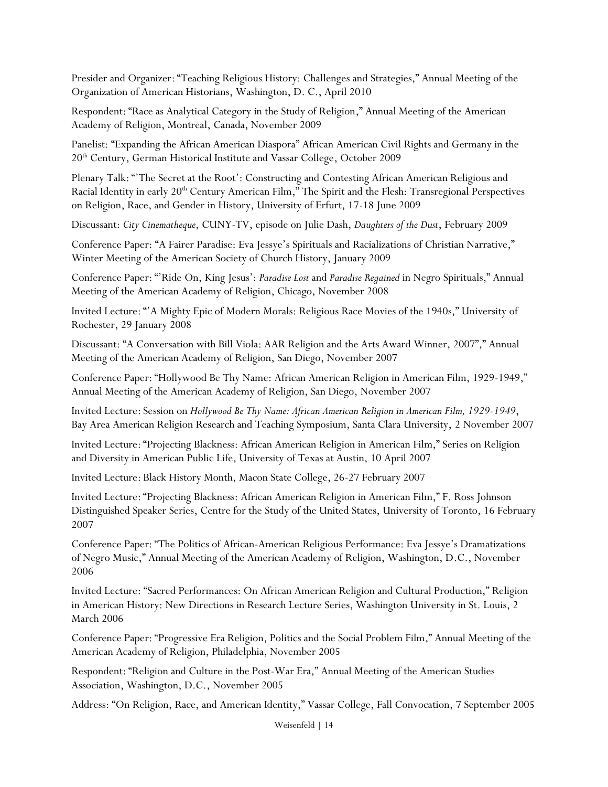Presider and Organizer: "Teaching Religious History: Challenges and Strategies," Annual Meeting of the Organization of American Historians, Washington, D. C., April 2010

Respondent: "Race as Analytical Category in the Study of Religion," Annual Meeting of the American Academy of Religion, Montreal, Canada, November 2009

Panelist: "Expanding the African American Diaspora" African American Civil Rights and Germany in the 20th Century, German Historical Institute and Vassar College, October 2009

Plenary Talk: "'The Secret at the Root': Constructing and Contesting African American Religious and Racial Identity in early 20<sup>th</sup> Century American Film," The Spirit and the Flesh: Transregional Perspectives on Religion, Race, and Gender in History, University of Erfurt, 17-18 June 2009

Discussant: *City Cinematheque*, CUNY-TV, episode on Julie Dash, *Daughters of the Dust*, February 2009

Conference Paper: "A Fairer Paradise: Eva Jessye's Spirituals and Racializations of Christian Narrative," Winter Meeting of the American Society of Church History, January 2009

Conference Paper: "'Ride On, King Jesus': *Paradise Lost* and *Paradise Regained* in Negro Spirituals," Annual Meeting of the American Academy of Religion, Chicago, November 2008

Invited Lecture: "'A Mighty Epic of Modern Morals: Religious Race Movies of the 1940s," University of Rochester, 29 January 2008

Discussant: "A Conversation with Bill Viola: AAR Religion and the Arts Award Winner, 2007"," Annual Meeting of the American Academy of Religion, San Diego, November 2007

Conference Paper: "Hollywood Be Thy Name: African American Religion in American Film, 1929-1949," Annual Meeting of the American Academy of Religion, San Diego, November 2007

Invited Lecture: Session on *Hollywood Be Thy Name: African American Religion in American Film, 1929-1949*, Bay Area American Religion Research and Teaching Symposium, Santa Clara University, 2 November 2007

Invited Lecture: "Projecting Blackness: African American Religion in American Film," Series on Religion and Diversity in American Public Life, University of Texas at Austin, 10 April 2007

Invited Lecture: Black History Month, Macon State College, 26-27 February 2007

Invited Lecture: "Projecting Blackness: African American Religion in American Film," F. Ross Johnson Distinguished Speaker Series, Centre for the Study of the United States, University of Toronto, 16 February 2007

Conference Paper: "The Politics of African-American Religious Performance: Eva Jessye's Dramatizations of Negro Music," Annual Meeting of the American Academy of Religion, Washington, D.C., November 2006

Invited Lecture: "Sacred Performances: On African American Religion and Cultural Production," Religion in American History: New Directions in Research Lecture Series, Washington University in St. Louis, 2 March 2006

Conference Paper: "Progressive Era Religion, Politics and the Social Problem Film," Annual Meeting of the American Academy of Religion, Philadelphia, November 2005

Respondent: "Religion and Culture in the Post-War Era," Annual Meeting of the American Studies Association, Washington, D.C., November 2005

Address: "On Religion, Race, and American Identity," Vassar College, Fall Convocation, 7 September 2005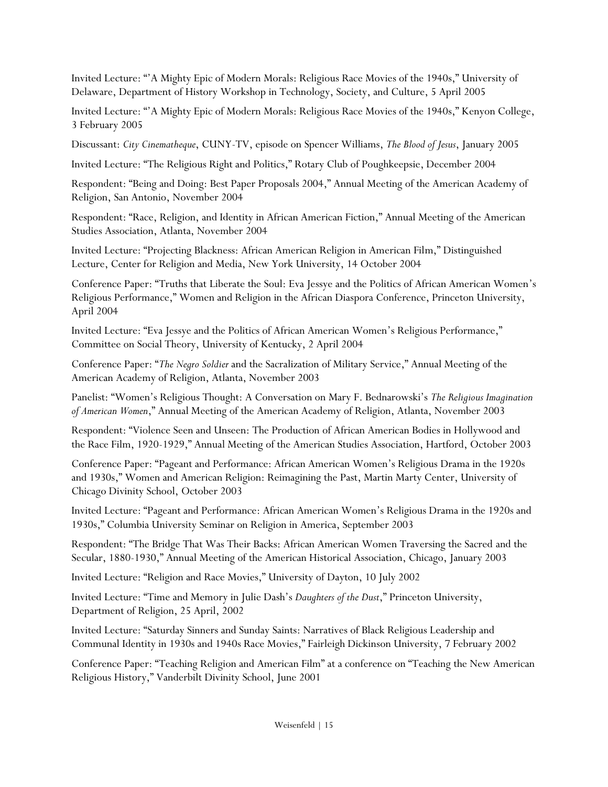Invited Lecture: "'A Mighty Epic of Modern Morals: Religious Race Movies of the 1940s," University of Delaware, Department of History Workshop in Technology, Society, and Culture, 5 April 2005

Invited Lecture: "'A Mighty Epic of Modern Morals: Religious Race Movies of the 1940s," Kenyon College, 3 February 2005

Discussant: *City Cinematheque*, CUNY-TV, episode on Spencer Williams, *The Blood of Jesus*, January 2005

Invited Lecture: "The Religious Right and Politics," Rotary Club of Poughkeepsie, December 2004

Respondent: "Being and Doing: Best Paper Proposals 2004," Annual Meeting of the American Academy of Religion, San Antonio, November 2004

Respondent: "Race, Religion, and Identity in African American Fiction," Annual Meeting of the American Studies Association, Atlanta, November 2004

Invited Lecture: "Projecting Blackness: African American Religion in American Film," Distinguished Lecture, Center for Religion and Media, New York University, 14 October 2004

Conference Paper: "Truths that Liberate the Soul: Eva Jessye and the Politics of African American Women's Religious Performance," Women and Religion in the African Diaspora Conference, Princeton University, April 2004

Invited Lecture: "Eva Jessye and the Politics of African American Women's Religious Performance," Committee on Social Theory, University of Kentucky, 2 April 2004

Conference Paper: "*The Negro Soldier* and the Sacralization of Military Service," Annual Meeting of the American Academy of Religion, Atlanta, November 2003

Panelist: "Women's Religious Thought: A Conversation on Mary F. Bednarowski's *The Religious Imagination of American Women*," Annual Meeting of the American Academy of Religion, Atlanta, November 2003

Respondent: "Violence Seen and Unseen: The Production of African American Bodies in Hollywood and the Race Film, 1920-1929," Annual Meeting of the American Studies Association, Hartford, October 2003

Conference Paper: "Pageant and Performance: African American Women's Religious Drama in the 1920s and 1930s," Women and American Religion: Reimagining the Past, Martin Marty Center, University of Chicago Divinity School, October 2003

Invited Lecture: "Pageant and Performance: African American Women's Religious Drama in the 1920s and 1930s," Columbia University Seminar on Religion in America, September 2003

Respondent: "The Bridge That Was Their Backs: African American Women Traversing the Sacred and the Secular, 1880-1930," Annual Meeting of the American Historical Association, Chicago, January 2003

Invited Lecture: "Religion and Race Movies," University of Dayton, 10 July 2002

Invited Lecture: "Time and Memory in Julie Dash's *Daughters of the Dust*," Princeton University, Department of Religion, 25 April, 2002

Invited Lecture: "Saturday Sinners and Sunday Saints: Narratives of Black Religious Leadership and Communal Identity in 1930s and 1940s Race Movies," Fairleigh Dickinson University, 7 February 2002

Conference Paper: "Teaching Religion and American Film" at a conference on "Teaching the New American Religious History," Vanderbilt Divinity School, June 2001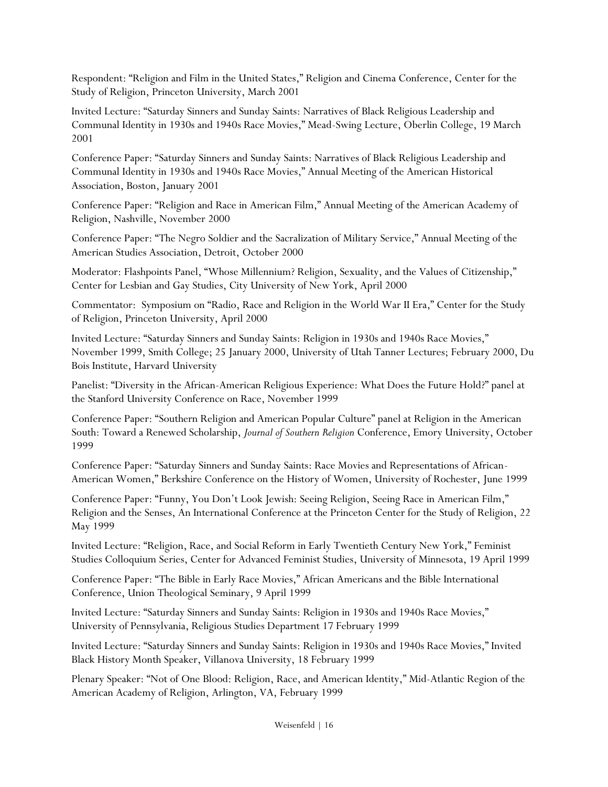Respondent: "Religion and Film in the United States," Religion and Cinema Conference, Center for the Study of Religion, Princeton University, March 2001

Invited Lecture: "Saturday Sinners and Sunday Saints: Narratives of Black Religious Leadership and Communal Identity in 1930s and 1940s Race Movies," Mead-Swing Lecture, Oberlin College, 19 March 2001

Conference Paper: "Saturday Sinners and Sunday Saints: Narratives of Black Religious Leadership and Communal Identity in 1930s and 1940s Race Movies," Annual Meeting of the American Historical Association, Boston, January 2001

Conference Paper: "Religion and Race in American Film," Annual Meeting of the American Academy of Religion, Nashville, November 2000

Conference Paper: "The Negro Soldier and the Sacralization of Military Service," Annual Meeting of the American Studies Association, Detroit, October 2000

Moderator: Flashpoints Panel, "Whose Millennium? Religion, Sexuality, and the Values of Citizenship," Center for Lesbian and Gay Studies, City University of New York, April 2000

Commentator: Symposium on "Radio, Race and Religion in the World War II Era," Center for the Study of Religion, Princeton University, April 2000

Invited Lecture: "Saturday Sinners and Sunday Saints: Religion in 1930s and 1940s Race Movies," November 1999, Smith College; 25 January 2000, University of Utah Tanner Lectures; February 2000, Du Bois Institute, Harvard University

Panelist: "Diversity in the African-American Religious Experience: What Does the Future Hold?" panel at the Stanford University Conference on Race, November 1999

Conference Paper: "Southern Religion and American Popular Culture" panel at Religion in the American South: Toward a Renewed Scholarship, *Journal of Southern Religion* Conference, Emory University, October 1999

Conference Paper: "Saturday Sinners and Sunday Saints: Race Movies and Representations of African-American Women," Berkshire Conference on the History of Women, University of Rochester, June 1999

Conference Paper: "Funny, You Don't Look Jewish: Seeing Religion, Seeing Race in American Film," Religion and the Senses, An International Conference at the Princeton Center for the Study of Religion, 22 May 1999

Invited Lecture: "Religion, Race, and Social Reform in Early Twentieth Century New York," Feminist Studies Colloquium Series, Center for Advanced Feminist Studies, University of Minnesota, 19 April 1999

Conference Paper: "The Bible in Early Race Movies," African Americans and the Bible International Conference, Union Theological Seminary, 9 April 1999

Invited Lecture: "Saturday Sinners and Sunday Saints: Religion in 1930s and 1940s Race Movies," University of Pennsylvania, Religious Studies Department 17 February 1999

Invited Lecture: "Saturday Sinners and Sunday Saints: Religion in 1930s and 1940s Race Movies," Invited Black History Month Speaker, Villanova University, 18 February 1999

Plenary Speaker: "Not of One Blood: Religion, Race, and American Identity," Mid-Atlantic Region of the American Academy of Religion, Arlington, VA, February 1999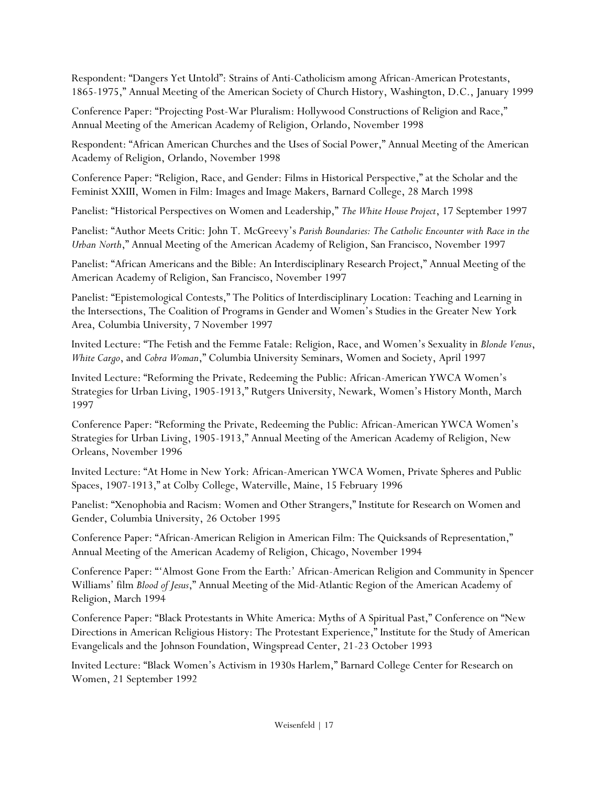Respondent: "Dangers Yet Untold": Strains of Anti-Catholicism among African-American Protestants, 1865-1975," Annual Meeting of the American Society of Church History, Washington, D.C., January 1999

Conference Paper: "Projecting Post-War Pluralism: Hollywood Constructions of Religion and Race," Annual Meeting of the American Academy of Religion, Orlando, November 1998

Respondent: "African American Churches and the Uses of Social Power," Annual Meeting of the American Academy of Religion, Orlando, November 1998

Conference Paper: "Religion, Race, and Gender: Films in Historical Perspective," at the Scholar and the Feminist XXIII, Women in Film: Images and Image Makers, Barnard College, 28 March 1998

Panelist: "Historical Perspectives on Women and Leadership," *The White House Project*, 17 September 1997

Panelist: "Author Meets Critic: John T. McGreevy's *Parish Boundaries: The Catholic Encounter with Race in the Urban North*," Annual Meeting of the American Academy of Religion, San Francisco, November 1997

Panelist: "African Americans and the Bible: An Interdisciplinary Research Project," Annual Meeting of the American Academy of Religion, San Francisco, November 1997

Panelist: "Epistemological Contests," The Politics of Interdisciplinary Location: Teaching and Learning in the Intersections, The Coalition of Programs in Gender and Women's Studies in the Greater New York Area, Columbia University, 7 November 1997

Invited Lecture: "The Fetish and the Femme Fatale: Religion, Race, and Women's Sexuality in *Blonde Venus*, *White Cargo*, and *Cobra Woman*," Columbia University Seminars, Women and Society, April 1997

Invited Lecture: "Reforming the Private, Redeeming the Public: African-American YWCA Women's Strategies for Urban Living, 1905-1913," Rutgers University, Newark, Women's History Month, March 1997

Conference Paper: "Reforming the Private, Redeeming the Public: African-American YWCA Women's Strategies for Urban Living, 1905-1913," Annual Meeting of the American Academy of Religion, New Orleans, November 1996

Invited Lecture: "At Home in New York: African-American YWCA Women, Private Spheres and Public Spaces, 1907-1913," at Colby College, Waterville, Maine, 15 February 1996

Panelist: "Xenophobia and Racism: Women and Other Strangers," Institute for Research on Women and Gender, Columbia University, 26 October 1995

Conference Paper: "African-American Religion in American Film: The Quicksands of Representation," Annual Meeting of the American Academy of Religion, Chicago, November 1994

Conference Paper: "'Almost Gone From the Earth:' African-American Religion and Community in Spencer Williams' film *Blood of Jesus*," Annual Meeting of the Mid-Atlantic Region of the American Academy of Religion, March 1994

Conference Paper: "Black Protestants in White America: Myths of A Spiritual Past," Conference on "New Directions in American Religious History: The Protestant Experience," Institute for the Study of American Evangelicals and the Johnson Foundation, Wingspread Center, 21-23 October 1993

Invited Lecture: "Black Women's Activism in 1930s Harlem," Barnard College Center for Research on Women, 21 September 1992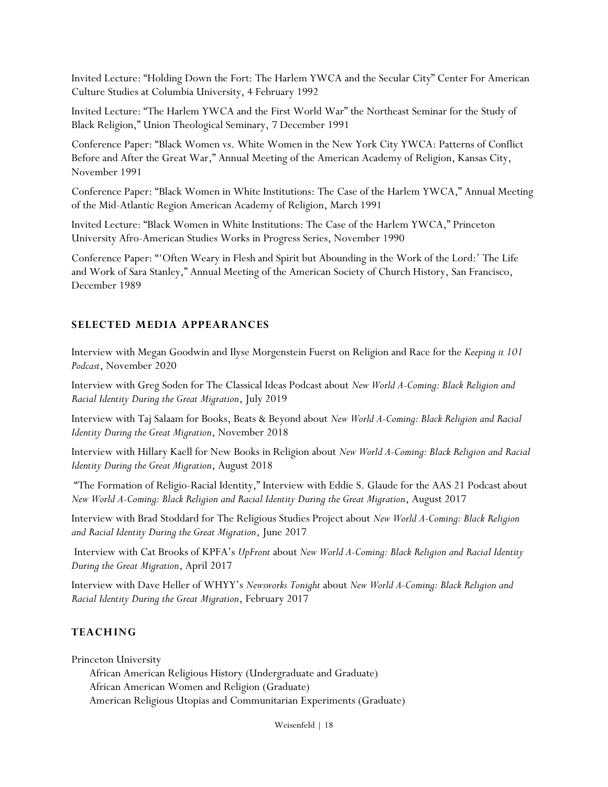Invited Lecture: "Holding Down the Fort: The Harlem YWCA and the Secular City" Center For American Culture Studies at Columbia University, 4 February 1992

Invited Lecture: "The Harlem YWCA and the First World War" the Northeast Seminar for the Study of Black Religion," Union Theological Seminary, 7 December 1991

Conference Paper: "Black Women vs. White Women in the New York City YWCA: Patterns of Conflict Before and After the Great War," Annual Meeting of the American Academy of Religion, Kansas City, November 1991

Conference Paper: "Black Women in White Institutions: The Case of the Harlem YWCA," Annual Meeting of the Mid-Atlantic Region American Academy of Religion, March 1991

Invited Lecture: "Black Women in White Institutions: The Case of the Harlem YWCA," Princeton University Afro-American Studies Works in Progress Series, November 1990

Conference Paper: "'Often Weary in Flesh and Spirit but Abounding in the Work of the Lord:' The Life and Work of Sara Stanley," Annual Meeting of the American Society of Church History, San Francisco, December 1989

### **SELECTED MEDIA APPEARANCES**

Interview with Megan Goodwin and Ilyse Morgenstein Fuerst on Religion and Race for the *Keeping it 101 Podcast*, November 2020

Interview with Greg Soden for The Classical Ideas Podcast about *New World A-Coming: Black Religion and Racial Identity During the Great Migration*, July 2019

Interview with Taj Salaam for Books, Beats & Beyond about *New World A-Coming: Black Religion and Racial Identity During the Great Migration*, November 2018

Interview with Hillary Kaell for New Books in Religion about *New World A-Coming: Black Religion and Racial Identity During the Great Migration*, August 2018

"The Formation of Religio-Racial Identity," Interview with Eddie S. Glaude for the AAS 21 Podcast about *New World A-Coming: Black Religion and Racial Identity During the Great Migration*, August 2017

Interview with Brad Stoddard for The Religious Studies Project about *New World A-Coming: Black Religion and Racial Identity During the Great Migration*, June 2017

Interview with Cat Brooks of KPFA's *UpFront* about *New World A-Coming: Black Religion and Racial Identity During the Great Migration*, April 2017

Interview with Dave Heller of WHYY's *Newsworks Tonight* about *New World A-Coming: Black Religion and Racial Identity During the Great Migration*, February 2017

#### **TEACHING**

Princeton University

African American Religious History (Undergraduate and Graduate) African American Women and Religion (Graduate) American Religious Utopias and Communitarian Experiments (Graduate)

Weisenfeld | 18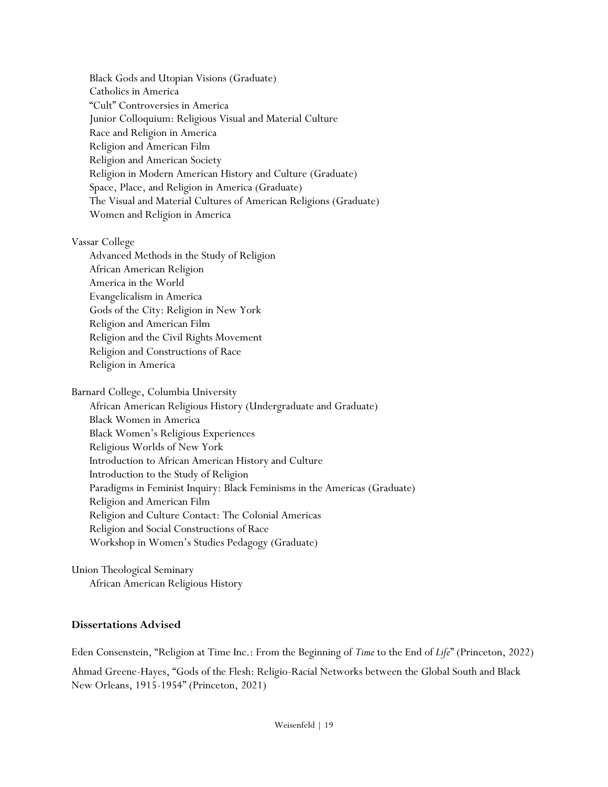Black Gods and Utopian Visions (Graduate) Catholics in America "Cult" Controversies in America Junior Colloquium: Religious Visual and Material Culture Race and Religion in America Religion and American Film Religion and American Society Religion in Modern American History and Culture (Graduate) Space, Place, and Religion in America (Graduate) The Visual and Material Cultures of American Religions (Graduate) Women and Religion in America

Vassar College

Advanced Methods in the Study of Religion African American Religion America in the World Evangelicalism in America Gods of the City: Religion in New York Religion and American Film Religion and the Civil Rights Movement Religion and Constructions of Race Religion in America

Barnard College, Columbia University African American Religious History (Undergraduate and Graduate) Black Women in America Black Women's Religious Experiences Religious Worlds of New York Introduction to African American History and Culture Introduction to the Study of Religion Paradigms in Feminist Inquiry: Black Feminisms in the Americas (Graduate) Religion and American Film Religion and Culture Contact: The Colonial Americas Religion and Social Constructions of Race Workshop in Women's Studies Pedagogy (Graduate)

Union Theological Seminary African American Religious History

#### **Dissertations Advised**

Eden Consenstein, "Religion at Time Inc.: From the Beginning of *Time* to the End of *Life*" (Princeton, 2022)

Ahmad Greene-Hayes, "Gods of the Flesh: Religio-Racial Networks between the Global South and Black New Orleans, 1915-1954" (Princeton, 2021)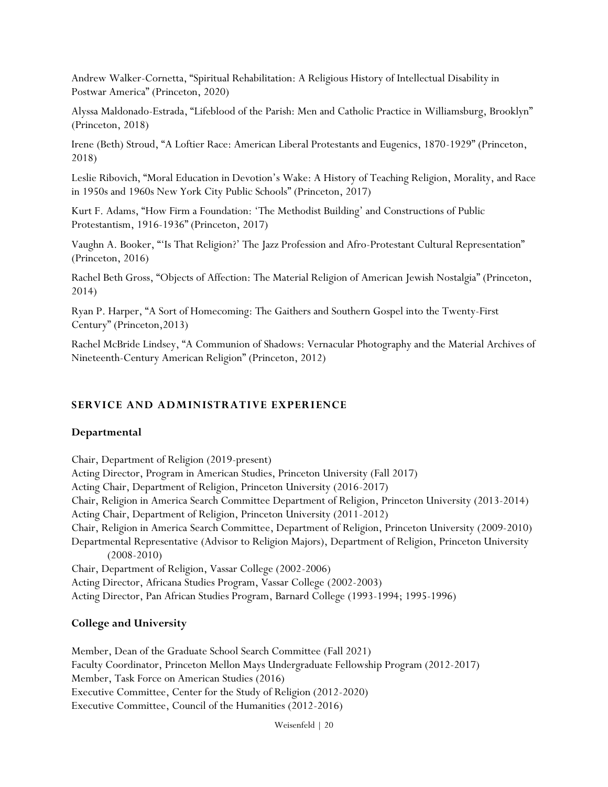Andrew Walker-Cornetta, "Spiritual Rehabilitation: A Religious History of Intellectual Disability in Postwar America" (Princeton, 2020)

Alyssa Maldonado-Estrada, "Lifeblood of the Parish: Men and Catholic Practice in Williamsburg, Brooklyn" (Princeton, 2018)

Irene (Beth) Stroud, "A Loftier Race: American Liberal Protestants and Eugenics, 1870-1929" (Princeton, 2018)

Leslie Ribovich, "Moral Education in Devotion's Wake: A History of Teaching Religion, Morality, and Race in 1950s and 1960s New York City Public Schools" (Princeton, 2017)

Kurt F. Adams, "How Firm a Foundation: 'The Methodist Building' and Constructions of Public Protestantism, 1916-1936" (Princeton, 2017)

Vaughn A. Booker, "'Is That Religion?' The Jazz Profession and Afro-Protestant Cultural Representation" (Princeton, 2016)

Rachel Beth Gross, "Objects of Affection: The Material Religion of American Jewish Nostalgia" (Princeton, 2014)

Ryan P. Harper, "A Sort of Homecoming: The Gaithers and Southern Gospel into the Twenty-First Century" (Princeton,2013)

Rachel McBride Lindsey, "A Communion of Shadows: Vernacular Photography and the Material Archives of Nineteenth-Century American Religion" (Princeton, 2012)

## **SERVICE AND ADMINISTRATIVE EXPERIENCE**

#### **Departmental**

Chair, Department of Religion (2019-present) Acting Director, Program in American Studies, Princeton University (Fall 2017) Acting Chair, Department of Religion, Princeton University (2016-2017) Chair, Religion in America Search Committee Department of Religion, Princeton University (2013-2014) Acting Chair, Department of Religion, Princeton University (2011-2012) Chair, Religion in America Search Committee, Department of Religion, Princeton University (2009-2010) Departmental Representative (Advisor to Religion Majors), Department of Religion, Princeton University (2008-2010) Chair, Department of Religion, Vassar College (2002-2006) Acting Director, Africana Studies Program, Vassar College (2002-2003)

### Acting Director, Pan African Studies Program, Barnard College (1993-1994; 1995-1996)

## **College and University**

Member, Dean of the Graduate School Search Committee (Fall 2021) Faculty Coordinator, Princeton Mellon Mays Undergraduate Fellowship Program (2012-2017) Member, Task Force on American Studies (2016) Executive Committee, Center for the Study of Religion (2012-2020) Executive Committee, Council of the Humanities (2012-2016)